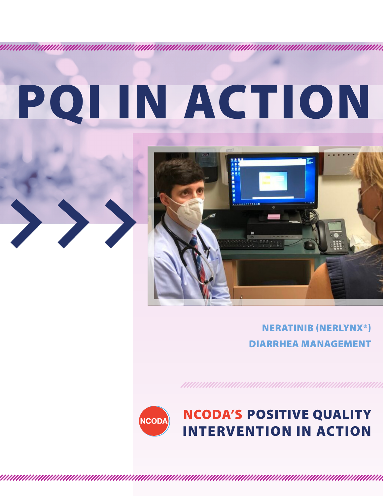# PQI IN ACTION





#### NERATINIB (NERLYNX®) DIARRHEA MANAGEMENT



### NCODA'S POSITIVE QUALITY INTERVENTION IN ACTION

<u> 1999 - Parlament Alexandria Santa Alexandria (h. 1974).</u>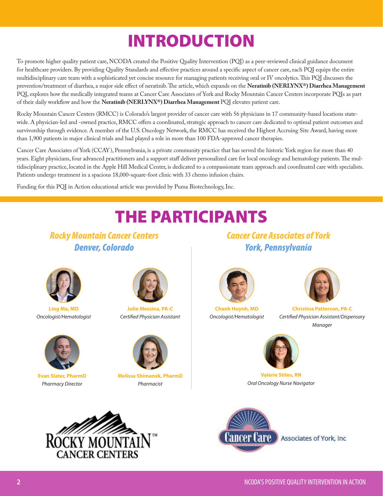# INTRODUCTION

To promote higher quality patient care, NCODA created the Positive Quality Intervention (PQI) as a peer-reviewed clinical guidance document for healthcare providers. By providing Quality Standards and effective practices around a specific aspect of cancer care, each PQI equips the entire multidisciplinary care team with a sophisticated yet concise resource for managing patients receiving oral or IV oncolytics. This PQI discusses the prevention/treatment of diarrhea, a major side effect of neratinib. The article, which expands on the **Neratinib (NERLYNX®) Diarrhea Management**  PQI, explores how the medically integrated teams at Cancer Care Associates of York and Rocky Mountain Cancer Centers incorporate PQIs as part of their daily workflow and how the **Neratinib (NERLYNX®) Diarrhea Management** PQI elevates patient care.

Rocky Mountain Cancer Centers (RMCC) is Colorado's largest provider of cancer care with 56 physicians in 17 community-based locations statewide. A physician-led and -owned practice, RMCC offers a coordinated, strategic approach to cancer care dedicated to optimal patient outcomes and survivorship through evidence. A member of the U.S. Oncology Network, the RMCC has received the Highest Accruing Site Award, having more than 1,900 patients in major clinical trials and had played a role in more than 100 FDA-approved cancer therapies.

Cancer Care Associates of York (CCAY), Pennsylvania, is a private community practice that has served the historic York region for more than 40 years. Eight physicians, four advanced practitioners and a support staff deliver personalized care for local oncology and hematology patients. The multidisciplinary practice, located in the Apple Hill Medical Center, is dedicated to a compassionate team approach and coordinated care with specialists. Patients undergo treatment in a spacious 18,000-square-foot clinic with 33 chemo infusion chairs.

Funding for this PQI in Action educational article was provided by Puma Biotechnology, Inc.

# THE PARTICIPANTS

*Rocky Mountain Cancer Centers Denver, Colorado*



**Ling Ma, MD** *Oncologist/Hematologist* 



**Evan Slater, PharmD** *Pharmacy Director*



**Julie Messina, PA-C**  *Certified Physician Assistant*



**Melissa Shimanek, PharmD** *Pharmacist* 

*Cancer Care Associates of York York, Pennsylvania*



**Chanh Huynh, MD** *Oncologist/Hematologist* 



**Christina Patterson, PA-C** *Certified Physician Assistant/Dispensary Manager*



**Valerie Stites, RN** *Oral Oncology Nurse Navigator*





Associates of York, Inc.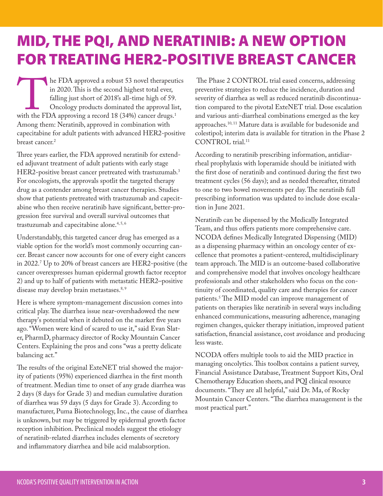# MID, THE PQI, AND NERATINIB: A NEW OPTION FOR TREATING HER2-POSITIVE BREAST CANCER

he FDA approved a robust 53 novel therapeutics<br>in 2020. This is the second highest total ever,<br>falling just short of 2018's all-time high of 59.<br>Oncology products dominated the approval list,<br>with the FDA approving a recor in 2020. This is the second highest total ever, falling just short of 2018's all-time high of 59. Oncology products dominated the approval list, with the FDA approving a record 18 (34%) cancer drugs. $^1$ Among them: Neratinib, approved in combination with capecitabine for adult patients with advanced HER2-positive breast cancer.2

Three years earlier, the FDA approved neratinib for extended adjuvant treatment of adult patients with early stage HER2-positive breast cancer pretreated with trastuzumab.3 For oncologists, the approvals spotlit the targeted therapy drug as a contender among breast cancer therapies. Studies show that patients pretreated with trastuzumab and capecitabine who then receive neratinib have significant, better-progression free survival and overall survival outcomes that trastuzumab and capecitabine alone.<sup>4,5,6</sup>

Understandably, this targeted cancer drug has emerged as a viable option for the world's most commonly occurring cancer. Breast cancer now accounts for one of every eight cancers in 2022.7 Up to 20% of breast cancers are HER2-positive (the cancer overexpresses human epidermal growth factor receptor 2) and up to half of patients with metastatic HER2–positive disease may develop brain metastases.<sup>8, 9</sup>

Here is where symptom-management discussion comes into critical play. The diarrhea issue near-overshadowed the new therapy's potential when it debuted on the market five years ago. "Women were kind of scared to use it," said Evan Slater, PharmD, pharmacy director of Rocky Mountain Cancer Centers. Explaining the pros and cons "was a pretty delicate balancing act."

The results of the original ExteNET trial showed the majority of patients (95%) experienced diarrhea in the first month of treatment. Median time to onset of any grade diarrhea was 2 days (8 days for Grade 3) and median cumulative duration of diarrhea was 59 days (5 days for Grade 3). According to manufacturer, Puma Biotechnology, Inc., the cause of diarrhea is unknown, but may be triggered by epidermal growth factor reception inhibition. Preclinical models suggest the etiology of neratinib-related diarrhea includes elements of secretory and inflammatory diarrhea and bile acid malabsorption.

 The Phase 2 CONTROL trial eased concerns, addressing preventive strategies to reduce the incidence, duration and severity of diarrhea as well as reduced neratinib discontinuation compared to the pivotal ExteNET trial. Dose escalation and various anti-diarrheal combinations emerged as the key approaches.10, 11 Mature data is available for budesonide and colestipol; interim data is available for titration in the Phase 2 CONTROL trial.<sup>11</sup>

According to neratinib prescribing information, antidiarrheal prophylaxis with loperamide should be initiated with the first dose of neratinib and continued during the first two treatment cycles (56 days); and as needed thereafter, titrated to one to two bowel movements per day. The neratinib full prescribing information was updated to include dose escalation in June 2021.

Neratinib can be dispensed by the Medically Integrated Team, and thus offers patients more comprehensive care. NCODA defines Medically Integrated Dispensing (MID) as a dispensing pharmacy within an oncology center of excellence that promotes a patient-centered, multidisciplinary team approach. The MID is an outcome-based collaborative and comprehensive model that involves oncology healthcare professionals and other stakeholders who focus on the continuity of coordinated, quality care and therapies for cancer patients.5 The MID model can improve management of patients on therapies like neratinib in several ways including enhanced communications, measuring adherence, managing regimen changes, quicker therapy initiation, improved patient satisfaction, financial assistance, cost avoidance and producing less waste.

NCODA offers multiple tools to aid the MID practice in managing oncolytics. This toolbox contains a patient survey, Financial Assistance Database, Treatment Support Kits, Oral Chemotherapy Education sheets, and PQI clinical resource documents. "They are all helpful," said Dr. Ma, of Rocky Mountain Cancer Centers. "The diarrhea management is the most practical part."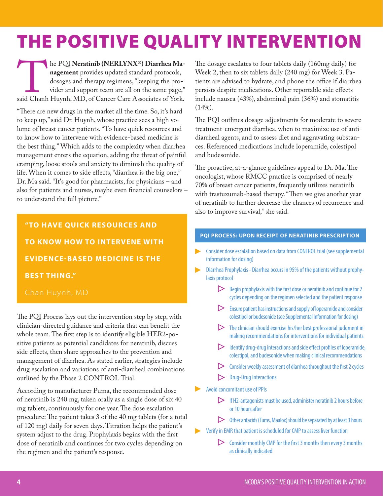# THE POSITIVE QUALITY INTERVENTION

he PQI Neratinib (NERLYNX<sup>®</sup>) Diarrhea Ma-**nagement** provides updated standard protocols,<br>dosages and therapy regimens, "keeping the provider and support team are all on the same page,"
said Chanh Huynh, MD, of Cancer C **nagement** provides updated standard protocols, dosages and therapy regimens, "keeping the provider and support team are all on the same page," said Chanh Huynh, MD, of Cancer Care Associates of York.

"There are new drugs in the market all the time. So, it's hard to keep up," said Dr. Huynh, whose practice sees a high volume of breast cancer patients. "To have quick resources and to know how to intervene with evidence-based medicine is the best thing." Which adds to the complexity when diarrhea management enters the equation, adding the threat of painful cramping, loose stools and anxiety to diminish the quality of life. When it comes to side effects, "diarrhea is the big one," Dr. Ma said. "It's good for pharmacists, for physicians – and also for patients and nurses, maybe even financial counselors – to understand the full picture."

**"TO HAVE QUICK RESOURCES AND TO KNOW HOW TO INTERVENE WITH EVIDENCE-BASED MEDICINE IS THE BEST THING."**

The PQI Process lays out the intervention step by step, with clinician-directed guidance and criteria that can benefit the whole team. The first step is to identify eligible HER2-positive patients as potential candidates for neratinib, discuss side effects, then share approaches to the prevention and management of diarrhea. As stated earlier, strategies include drug escalation and variations of anti-diarrheal combinations outlined by the Phase 2 CONTROL Trial.

According to manufacturer Puma, the recommended dose of neratinib is 240 mg, taken orally as a single dose of six 40 mg tablets, continuously for one year. The dose escalation procedure: The patient takes 3 of the 40 mg tablets (for a total of 120 mg) daily for seven days. Titration helps the patient's system adjust to the drug. Prophylaxis begins with the first dose of neratinib and continues for two cycles depending on the regimen and the patient's response.

The dosage escalates to four tablets daily (160mg daily) for Week 2, then to six tablets daily (240 mg) for Week 3. Patients are advised to hydrate, and phone the office if diarrhea persists despite medications. Other reportable side effects include nausea (43%), abdominal pain (36%) and stomatitis  $(14\%).$ 

The PQI outlines dosage adjustments for moderate to severe treatment-emergent diarrhea, when to maximize use of antidiarrheal agents, and to assess diet and aggravating substances. Referenced medications include loperamide, colestipol and budesonide.

The proactive, at-a-glance guidelines appeal to Dr. Ma. The oncologist, whose RMCC practice is comprised of nearly 70% of breast cancer patients, frequently utilizes neratinib with trastuzumab-based therapy. "Then we give another year of neratinib to further decrease the chances of recurrence and also to improve survival," she said.

#### **PQI PROCESS: UPON RECEIPT OF NERATINIB PRESCRIPTION**

- Consider dose escalation based on data from CONTROL trial (see supplemental information for dosing)
- Diarrhea Prophylaxis Diarrhea occurs in 95% of the patients without prophy- $\blacktriangleright$ laxis protocol
	- $\triangleright$  Begin prophylaxis with the first dose or neratinib and continue for 2 cycles depending on the regimen selected and the patient response
	- $\triangleright$  Ensure patient has instructions and supply of loperamide and consider colestipol or budesonide (see Supplemental Information for dosing)
	- $\triangleright$  The clinician should exercise his/her best professional judgment in making recommendations for interventions for individual patients
	- $\triangleright$  Identify drug-drug interactions and side effect profiles of loperamide, colestipol, and budesonide when making clinical recommendations
	- $\triangleright$  Consider weekly assessment of diarrhea throughout the first 2 cycles
	- Drug-Drug Interactions
- Avoid concomitant use of PPIs
	- $\triangleright$  If H2-antagonists must be used, administer neratinib 2 hours before or 10 hours after
	- $\triangleright$  Other antacids (Tums, Maalox) should be separated by at least 3 hours
	- Verify in EMR that patient is scheduled for CMP to assess liver function
		- $\triangleright$  Consider monthly CMP for the first 3 months then every 3 months as clinically indicated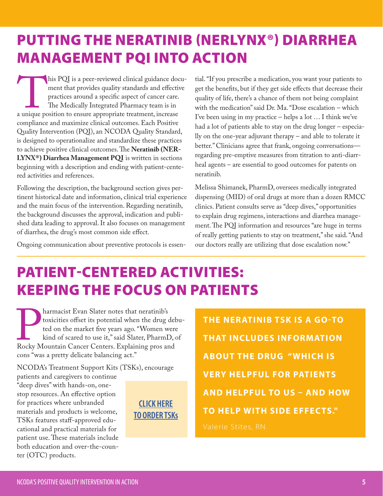## PUTTING THE NERATINIB (NERLYNX®) DIARRHEA MANAGEMENT PQI INTO ACTION

his PQI is a peer-reviewed clinical guidance docu-<br>ment that provides quality standards and effective<br>practices around a specific aspect of cancer care.<br>The Medically Integrated Pharmacy team is in<br>a unique position to ens ment that provides quality standards and effective practices around a specific aspect of cancer care. The Medically Integrated Pharmacy team is in a unique position to ensure appropriate treatment, increase compliance and maximize clinical outcomes. Each Positive Quality Intervention (PQI), an NCODA Quality Standard, is designed to operationalize and standardize these practices to achieve positive clinical outcomes. The **Neratinib (NER-LYNX®) Diarrhea Management PQI** is written in sections beginning with a description and ending with patient-centered activities and references.

Following the description, the background section gives pertinent historical date and information, clinical trial experience and the main focus of the intervention. Regarding neratinib, the background discusses the approval, indication and published data leading to approval. It also focuses on management of diarrhea, the drug's most common side effect.

Ongoing communication about preventive protocols is essen-

tial. "If you prescribe a medication, you want your patients to get the benefits, but if they get side effects that decrease their quality of life, there's a chance of them not being complaint with the medication" said Dr. Ma. "Dose escalation – which I've been using in my practice – helps a lot … I think we've had a lot of patients able to stay on the drug longer – especially on the one-year adjuvant therapy – and able to tolerate it better." Clinicians agree that frank, ongoing conversations regarding pre-emptive measures from titration to anti-diarrheal agents – are essential to good outcomes for patents on neratinib.

Melissa Shimanek, PharmD, oversees medically integrated dispensing (MID) of oral drugs at more than a dozen RMCC clinics. Patient consults serve as "deep dives," opportunities to explain drug regimens, interactions and diarrhea management. The PQI information and resources "are huge in terms of really getting patients to stay on treatment," she said. "And our doctors really are utilizing that dose escalation now."

# PATIENT-CENTERED ACTIVITIES: KEEPING THE FOCUS ON PATIENTS

**Pharmacist Evan Slater notes that neratinib's**<br>toxicities offset its potential when the drug c<br>ted on the market five years ago. "Women w<br>kind of scared to use it," said Slater, Pharm<br>I<br>Rocky Mountain Cancer Centers. Expl toxicities offset its potential when the drug debuted on the market five years ago. "Women were kind of scared to use it," said Slater, PharmD, of Rocky Mountain Cancer Centers. Explaining pros and cons "was a pretty delicate balancing act."

NCODA's Treatment Support Kits (TSKs), encourage

patients and caregivers to continue "deep dives" with hands-on, onestop resources. An effective option for practices where unbranded materials and products is welcome, TSKs features staff-approved educational and practical materials for patient use. These materials include both education and over-the-counter (OTC) products.

**[CLICK HERE](https://www.surveymonkey.com/r/5P9XHMN) [TO](https://www.surveymonkey.com/r/5P9XHMN) ORDER TSKs** **THE NERATINIB TSK IS A GO-TO THAT INCLUDES INFORMATION ABOUT THE DRUG "WHICH IS VERY HELPFUL FOR PATIENTS AND HELPFUL TO US – AND HOW TO HELP WITH SIDE EFFECTS."**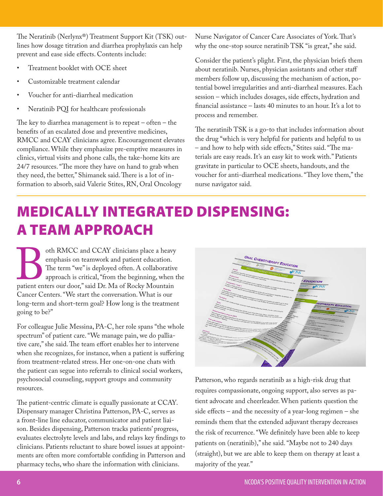The Neratinib (Nerlynx®) Treatment Support Kit (TSK) outlines how dosage titration and diarrhea prophylaxis can help prevent and ease side effects. Contents include:

- Treatment booklet with OCE sheet
- Customizable treatment calendar
- Voucher for anti-diarrheal medication
- Neratinib PQI for healthcare professionals

The key to diarrhea management is to repeat  $-$  often  $-$  the benefits of an escalated dose and preventive medicines, RMCC and CCAY clinicians agree. Encouragement elevates compliance. While they emphasize pre-emptive measures in clinics, virtual visits and phone calls, the take-home kits are 24/7 resources. "The more they have on hand to grab when they need, the better," Shimanek said. There is a lot of information to absorb, said Valerie Stites, RN, Oral Oncology

Nurse Navigator of Cancer Care Associates of York. That's why the one-stop source neratinib TSK "is great," she said.

Consider the patient's plight. First, the physician briefs them about neratinib. Nurses, physician assistants and other staff members follow up, discussing the mechanism of action, potential bowel irregularities and anti-diarrheal measures. Each session – which includes dosages, side effects, hydration and financial assistance – lasts 40 minutes to an hour. It's a lot to process and remember.

The neratinib TSK is a go-to that includes information about the drug "which is very helpful for patients and helpful to us – and how to help with side effects," Stites said. "The materials are easy reads. It's an easy kit to work with." Patients gravitate in particular to OCE sheets, handouts, and the voucher for anti-diarrheal medications. "They love them," the nurse navigator said.

## MEDICALLY INTEGRATED DISPENSING: A TEAM APPROACH

oth RMCC and CCAY clinicians place a heavy<br>emphasis on teamwork and patient education.<br>The term "we" is deployed often. A collaborative<br>approach is critical, "from the beginning, when t<br>patient enters our door," said Dr. M emphasis on teamwork and patient education. The term "we" is deployed often. A collaborative approach is critical, "from the beginning, when the patient enters our door," said Dr. Ma of Rocky Mountain Cancer Centers. "We start the conversation. What is our long-term and short-term goal? How long is the treatment going to be?"

For colleague Julie Messina, PA-C, her role spans "the whole spectrum" of patient care. "We manage pain, we do palliative care," she said. The team effort enables her to intervene when she recognizes, for instance, when a patient is suffering from treatment-related stress. Her one-on-one chats with the patient can segue into referrals to clinical social workers, psychosocial counseling, support groups and community resources.

The patient-centric climate is equally passionate at CCAY. Dispensary manager Christina Patterson, PA-C, serves as a front-line line educator, communicator and patient liaison. Besides dispensing, Patterson tracks patients' progress, evaluates electrolyte levels and labs, and relays key findings to clinicians. Patients reluctant to share bowel issues at appointments are often more comfortable confiding in Patterson and pharmacy techs, who share the information with clinicians.

| ORAL CHEMOTHERAPY EDUCATION<br>ACCC<br>$\sim$<br>SPECIALTY PHARMACY INSURANCE TERMS<br>Appear<br>WONS                                                                                                                                                                                                                                                                                                                                                                                                                                                                                                                                                                                                                                                                                                                                                                                                                                                                                                                                                                                                                                                                                                                                                                                                                                                                                                                                                            |
|------------------------------------------------------------------------------------------------------------------------------------------------------------------------------------------------------------------------------------------------------------------------------------------------------------------------------------------------------------------------------------------------------------------------------------------------------------------------------------------------------------------------------------------------------------------------------------------------------------------------------------------------------------------------------------------------------------------------------------------------------------------------------------------------------------------------------------------------------------------------------------------------------------------------------------------------------------------------------------------------------------------------------------------------------------------------------------------------------------------------------------------------------------------------------------------------------------------------------------------------------------------------------------------------------------------------------------------------------------------------------------------------------------------------------------------------------------------|
| , regimental de majores la pica franca de procesos de que anos anos meios mais de concerto de estas a despi a território de la<br>Alemanda y Procesos de la pica de concerto de las anos de que anos anos meios de a decisión del<br>Colesurance<br>, Committendo de San Committe de San Committe de la Committe de la Committe de la Committe de la Committe de l<br>Son de la Committe de la Committe de la Committe de la Committe de la Committe de la Committe de la Committe d<br><br>you in the partner of the court of a books larges of the Cole Pay Pay Pay Pay 1997 To the Cole of the Cole of<br>The Cole of the Pay 2004 continued at the West Ang 2007 To the Book Pay 1997 To the Local Cole of<br><b>EDUCATION</b><br>Copayment ("copay")                                                                                                                                                                                                                                                                                                                                                                                                                                                                                                                                                                                                                                                                                                        |
| , martin Barat (1999)<br>Joseph de Tamel (1999)<br>1990 - Andre Stadt (1990), el la forma de la primeira de la primeira del primeira del primeira de la primeira<br>1990 - Andre Stadt (1990), el la forma del la primeira del primeira<br>- may have a situat selection of the local connect indebtate interior after your or pack on<br>Deductible<br>the States "but there are actively                                                                                                                                                                                                                                                                                                                                                                                                                                                                                                                                                                                                                                                                                                                                                                                                                                                                                                                                                                                                                                                                       |
| , manufický a staroči (* 1870)<br>18 december – Paris Barnett, filozof a na nemecký decharach (* 1870)<br>18 december – Paris Barnett, filozof a nemecký architekt (* 1883)<br>18 december – Paris Barnett, filozof a nemecký architekt<br>a manamaka ny kaodim-paositra 2014. Ilay kaominina dia kaominina mpikambana amin'ny fivondronan-paositra 61 me<br>I Carlo de La Carlo de la Carlo de La Carlo de La Carlo de La Carlo de La Carlo de La Carlo de La Carlo de La<br>J<br>Formulary<br>A language de la site of personal division comment by a dealers prior that entrep through a di is able subject a ding that.<br>Examples<br>Grant<br>109/3-1017<br><b>EMOTHERAPY EDUCATION</b><br>o Distriction<br>Pleastering<br><b>D-MOIRA</b><br><b>Astumicino</b><br>hom.                                                                                                                                                                                                                                                                                                                                                                                                                                                                                                                                                                                                                                                                                     |
| , Marine<br>Allenda de Brita y Distribuito companha la depuis de cost la designativa companha compat abrevolucion homospo<br>Allenda y Paris y del Chies Marine de La depuis de Cost la designa estatunidades el Marine designativa<br>, homom, in plans to company company to the left of the start of the content of the medical company started to the company of the started of the company of the company of the company of the company of the company of the co<br>Patient assistance program (PAP)<br><b>VONS</b><br>(Casadern)<br><b>SEASTRUIN</b><br>, Committe de Saladores de Carpona (Palay)<br>1976 : Paris de Carpona (Palay)<br>1976 : Paris de Carpona (Palay) : la companya de la familie de la propriété de la maria de la companya de la<br>1976 : Paris de Carpona (Palay) : la c<br>ing secretary of the strainers of front clear that man tended the case and<br><b>Marty</b><br>, ingelijk en termen van de verske op de gestien (de gestien in de staatste van de verske en de verske de staa<br>De verske de verske van de verske van de verske van de staat haar de verske op de verske ommerske van de versk<br><br>Alrane, Eligardin<br>anderson in<br>playment commission or everybe country, please steed, with your<br>of the continued, as they over primary sets your personnels wereholden.<br><b>Allancey</b><br>Prior authorization<br><b>Carbbany</b><br><b>BIAGGERY</b><br><b>design</b><br><b>For Pictures (Contract)</b> |
| , A prior Million Galleries<br>A prior ANN Council Corp.<br>A prior ANN Council A Prior Royal by Council Prior Process and a problement prior intermediately and a problem<br>provide of expressively, assuming to the University Description of the Constant of<br>, in the control of the party of the company of the state of the company of the company of the company of the c<br>the company of the company of the company of the company of the company of the company of the company of the c<br><b>Chrances</b><br>any move the print, frame also is their health projector that i healthcare sweet and the state of the state of<br>4. PARAN PENNSYLVANIA (ADA SARENETI)<br><b>Billionary</b><br>elisations by streng the Artimony.<br>imas (Hercepts)<br>scier (Venziertze)<br>moves, apply finish, degreeds speak, continuated constages, and processions<br>Assimon Cecembri<br><b>BANNING</b><br><b>Finderski (Opcher)</b><br>IS weight gam to are committed<br><b>Commercial Commercial Corp Plannings, 20015</b> , 706-8000 Formal for exclusive endowment<br><b>Pentruman IK Prague</b><br>y an boot of ayangkama and at raptic ay manis (hang-duning                                                                                                                                                                                                                                                                                           |
| Trageductured Program<br>Any property and the company of the company of the company of the company of the company of the company of the<br>Company of the company of the company of the company function and company over the company function of the comp<br>, al completat alguns de l'artes del completat de completat del la completat de la completat de la completat d<br>Alguns de la completat de la completat de la completat de la completat de la completat de la completat de la c<br>- Parties 22 Distance<br>Newtown DV, 1982, 1935, 1992, 1992, 1992, 1992, 1992, 1992, 1992, 1992, 1992, 1992, 1992, 1992, 1992, 1992, 1<br>Regional Corp., 1993, 1992, 1992, 1992, 1992, 1992, 1992, 1992, 1992, 1992, 1992, 1992, 1992, 1992, 1992, 199<br>Re<br><b>SALTA</b><br><b>Country of Property Designation</b><br>All Mill and<br><b>CONTRACTOR</b><br><b>WALKER</b>                                                                                                                                                                                                                                                                                                                                                                                                                                                                                                                                                                                  |
| <b>Communication of the Communication</b><br>en e y communistrativamente de la production de la communistrativa de la communistrativa de la communistrativa<br>La proposició de la communistrativa de la communistrativa de la communistrativa de la communistrativa de la co                                                                                                                                                                                                                                                                                                                                                                                                                                                                                                                                                                                                                                                                                                                                                                                                                                                                                                                                                                                                                                                                                                                                                                                    |
|                                                                                                                                                                                                                                                                                                                                                                                                                                                                                                                                                                                                                                                                                                                                                                                                                                                                                                                                                                                                                                                                                                                                                                                                                                                                                                                                                                                                                                                                  |

Patterson, who regards neratinib as a high-risk drug that requires compassionate, ongoing support, also serves as patient advocate and cheerleader. When patients question the side effects – and the necessity of a year-long regimen – she reminds them that the extended adjuvant therapy decreases the risk of recurrence. "We definitely have been able to keep patients on (neratinib)," she said. "Maybe not to 240 days (straight), but we are able to keep them on therapy at least a majority of the year."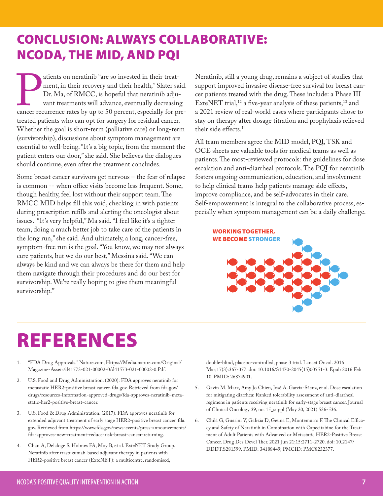### CONCLUSION: ALWAYS COLLABORATIVE: NCODA, THE MID, AND PQI

atients on neratinib "are so invested in their treat-<br>ment, in their recovery and their health," Slater sa<br>Dr. Ma, of RMCC, is hopeful that neratinib adju-<br>vant treatments will advance, eventually decreasin<br>cancer recurren ment, in their recovery and their health," Slater said. Dr. Ma, of RMCC, is hopeful that neratinib adjuvant treatments will advance, eventually decreasing cancer recurrence rates by up to 50 percent, especially for pretreated patients who can opt for surgery for residual cancer. Whether the goal is short-term (palliative care) or long-term (survivorship), discussions about symptom management are essential to well-being. "It's a big topic, from the moment the patient enters our door," she said. She believes the dialogues should continue, even after the treatment concludes.

Some breast cancer survivors get nervous – the fear of relapse is common -- when office visits become less frequent. Some, though healthy, feel lost without their support team. The RMCC MID helps fill this void, checking in with patients during prescription refills and alerting the oncologist about issues. "It's very helpful," Ma said. "I feel like it's a tighter team, doing a much better job to take care of the patients in the long run," she said. And ultimately, a long, cancer-free, symptom-free run is the goal. "You know, we may not always cure patients, but we do our best," Messina said. "We can always be kind and we can always be there for them and help them navigate through their procedures and do our best for survivorship. We're really hoping to give them meaningful survivorship."

Neratinib, still a young drug, remains a subject of studies that support improved invasive disease-free survival for breast cancer patients treated with the drug. These include: a Phase III ExteNET trial,<sup>12</sup> a five-year analysis of these patients,<sup>13</sup> and a 2021 review of real-world cases where participants chose to stay on therapy after dosage titration and prophylaxis relieved their side effects.14

All team members agree the MID model, PQI, TSK and OCE sheets are valuable tools for medical teams as well as patients. The most-reviewed protocols: the guidelines for dose escalation and anti-diarrheal protocols. The PQI for neratinib fosters ongoing communication, education, and involvement to help clinical teams help patients manage side effects, improve compliance, and be self-advocates in their care. Self-empowerment is integral to the collaborative process, especially when symptom management can be a daily challenge.



# REFERENCES

- 1. "FDA Drug Approvals." Nature.com, Https://Media.nature.com/Original/ Magazine-Assets/d41573-021-00002-0/d41573-021-00002-0.Pdf.
- 2. U.S. Food and Drug Administration. (2020): FDA approves neratinib for metastatic HER2-positive breast cancer. fda.gov. Retrieved from fda.gov/ drugs/resources-information-approved-drugs/fda-approves-neratinib-metastatic-her2-positive-breast-cancer.
- 3. U.S. Food & Drug Administration. (2017). FDA approves neratinib for extended adjuvant treatment of early stage HER2-positive breast cancer. fda. gov. Retrieved from https://www.fda.gov/news-events/press-announcements/ fda-approves-new-treatment-reduce-risk-breast-cancer-returning.
- 4. Chan A, Delaloge S, Holmes FA, Moy B, et al. ExteNET Study Group. Neratinib after trastuzumab-based adjuvant therapy in patients with HER2-positive breast cancer (ExteNET): a multicentre, randomised,

double-blind, placebo-controlled, phase 3 trial. Lancet Oncol. 2016 Mar;17(3):367-377. doi: 10.1016/S1470-2045(15)00551-3. Epub 2016 Feb 10. PMID: 26874901.

- 5. Gavin M. Marx, Amy Jo Chien, José A. García-Sáenz, et al. Dose escalation for mitigating diarrhea: Ranked tolerability assessment of anti-diarrheal regimens in patients receiving neratinib for early-stage breast cancer. Journal of Clinical Oncology 39, no. 15\_suppl (May 20, 2021) 536-536.
- 6. Chilà G, Guarini V, Galizia D, Geuna E, Montemurro F. The Clinical Efficacy and Safety of Neratinib in Combination with Capecitabine for the Treatment of Adult Patients with Advanced or Metastatic HER2-Positive Breast Cancer. Drug Des Devel Ther. 2021 Jun 21;15:2711-2720. doi: 10.2147/ DDDT.S281599. PMID: 34188449; PMCID: PMC8232377.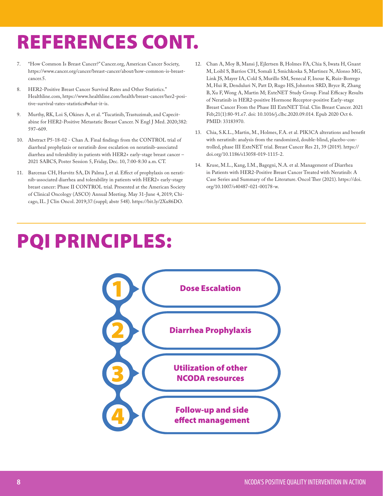# REFERENCES CONT.

- 7. "How Common Is Breast Cancer?" Cancer.org, American Cancer Society, https://www.cancer.org/cancer/breast-cancer/about/how-common-is-breastcancer.5.
- 8. HER2-Positive Breast Cancer Survival Rates and Other Statistics." Healthline.com, https://www.healthline.com/health/breast-cancer/her2-positive-survival-rates-statistics#what-it-is.
- 9. Murthy, RK, Loi S, Okines A, et al. "Tucatinib, Trastuzimab, and Capecitabine for HER2-Positive Metastatic Breast Cancer. N Engl J Med. 2020;382: 597–609.
- 10. Abstract P5-18-02 Chan A. Final findings from the CONTROL trial of diarrheal prophylaxis or neratinib dose escalation on neratinib-associated diarrhea and tolerability in patients with HER2+ early-stage breast cancer – 2021 SABCS, Poster Session 5, Friday, Dec. 10, 7:00-8:30 a.m. CT.
- 11. Barcenas CH, Hurvitz SA, Di Palma J, et al. Effect of prophylaxis on neratinib-associated diarrhea and tolerability in patients with HER2+ early-stage breast cancer: Phase II CONTROL trial. Presented at the American Society of Clinical Oncology (ASCO) Annual Meeting. May 31-June 4, 2019; Chicago, IL. J Clin Oncol. 2019;37:(suppl; abstr 548). https://bit.ly/2Xu86DO.
- PQI PRINCIPLES:
- 12. Chan A, Moy B, Mansi J, Ejlertsen B, Holmes FA, Chia S, Iwata H, Gnant M, Loibl S, Barrios CH, Somali I, Smichkoska S, Martinez N, Alonso MG, Link JS, Mayer IA, Cold S, Murillo SM, Senecal F, Inoue K, Ruiz-Borrego M, Hui R, Denduluri N, Patt D, Rugo HS, Johnston SRD, Bryce R, Zhang B, Xu F, Wong A, Martin M; ExteNET Study Group. Final Efficacy Results of Neratinib in HER2-positive Hormone Receptor-positive Early-stage Breast Cancer From the Phase III ExteNET Trial. Clin Breast Cancer. 2021 Feb;21(1):80-91.e7. doi: 10.1016/j.clbc.2020.09.014. Epub 2020 Oct 6. PMID: 33183970.
- 13. Chia, S.K.L., Martin, M., Holmes, F.A. et al. PIK3CA alterations and benefit with neratinib: analysis from the randomized, double-blind, placebo-controlled, phase III ExteNET trial. Breast Cancer Res 21, 39 (2019). https:// doi.org/10.1186/s13058-019-1115-2.
- 14. Kruse, M.L., Kang, I.M., Bagegni, N.A. et al. Management of Diarrhea in Patients with HER2-Positive Breast Cancer Treated with Neratinib: A Case Series and Summary of the Literature. Oncol Ther (2021). https://doi. org/10.1007/s40487-021-00178-w.

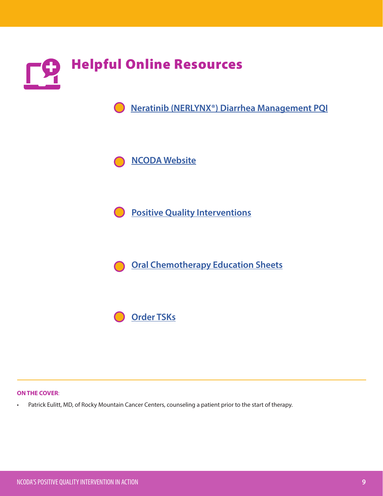

#### **ON THE COVER**:

• Patrick Eulitt, MD, of Rocky Mountain Cancer Centers, counseling a patient prior to the start of therapy.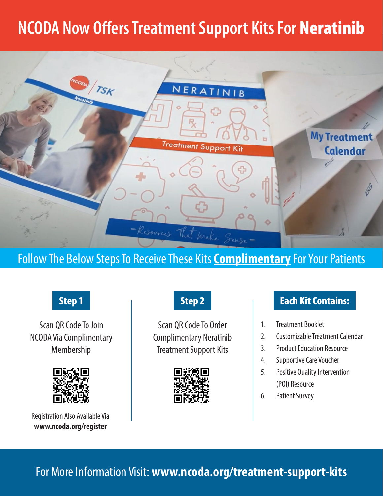# **NCODA Now Offers Treatment Support Kits For** Neratinib



### Follow The Below Steps To Receive These Kits **Complimentary** For Your Patients

Scan QR Code To Join NCODA Via Complimentary Membership



Registration Also Available Via **www.ncoda.org/register**

Scan QR Code To Order Complimentary Neratinib Treatment Support Kits



### **Step 1 Step 2 Contains:** Step 2 Contains:

- 1. Treatment Booklet
- 2. Customizable Treatment Calendar
- 3. Product Education Resource
- 4. Supportive Care Voucher
- 5. Positive Quality Intervention (PQI) Resource
- 6. Patient Survey

**10** NCODA'S POSITIVE QUALITY INTERVENTION IN ACTION For More Information Visit: **www.ncoda.org/treatment-support-kits**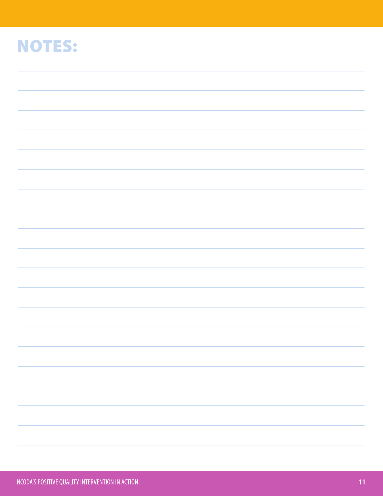# NOTES:

| a sa mga banda ay isang pagkalang nagsang nagsang nagsang nagsang nagsang nagsang nagsang nagsang nagsang nags<br>Mga banda ay nagsang nagsang nagsang nagsang nagsang nagsang nagsang nagsang nagsang nagsang nagsang nagsang n |  |
|----------------------------------------------------------------------------------------------------------------------------------------------------------------------------------------------------------------------------------|--|
|                                                                                                                                                                                                                                  |  |
|                                                                                                                                                                                                                                  |  |
|                                                                                                                                                                                                                                  |  |
|                                                                                                                                                                                                                                  |  |
|                                                                                                                                                                                                                                  |  |
|                                                                                                                                                                                                                                  |  |
|                                                                                                                                                                                                                                  |  |
|                                                                                                                                                                                                                                  |  |
|                                                                                                                                                                                                                                  |  |
|                                                                                                                                                                                                                                  |  |
|                                                                                                                                                                                                                                  |  |
|                                                                                                                                                                                                                                  |  |
|                                                                                                                                                                                                                                  |  |
|                                                                                                                                                                                                                                  |  |
|                                                                                                                                                                                                                                  |  |
|                                                                                                                                                                                                                                  |  |
|                                                                                                                                                                                                                                  |  |
|                                                                                                                                                                                                                                  |  |
|                                                                                                                                                                                                                                  |  |
|                                                                                                                                                                                                                                  |  |
|                                                                                                                                                                                                                                  |  |
|                                                                                                                                                                                                                                  |  |
|                                                                                                                                                                                                                                  |  |
|                                                                                                                                                                                                                                  |  |
|                                                                                                                                                                                                                                  |  |
|                                                                                                                                                                                                                                  |  |
|                                                                                                                                                                                                                                  |  |